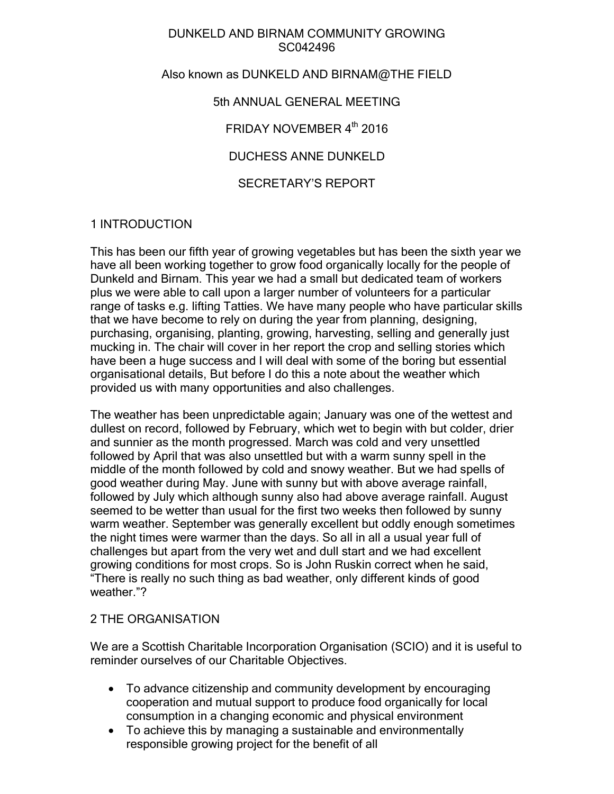## DUNKELD AND BIRNAM COMMUNITY GROWING SC042496

#### Also known as DUNKELD AND BIRNAM@THE FIELD

#### 5th ANNUAL GENERAL MEETING

FRIDAY NOVEMBER 4<sup>th</sup> 2016

DUCHESS ANNE DUNKELD

SECRETARY'S REPORT

### 1 INTRODUCTION

This has been our fifth year of growing vegetables but has been the sixth year we have all been working together to grow food organically locally for the people of Dunkeld and Birnam. This year we had a small but dedicated team of workers plus we were able to call upon a larger number of volunteers for a particular range of tasks e.g. lifting Tatties. We have many people who have particular skills that we have become to rely on during the year from planning, designing, purchasing, organising, planting, growing, harvesting, selling and generally just mucking in. The chair will cover in her report the crop and selling stories which have been a huge success and I will deal with some of the boring but essential organisational details, But before I do this a note about the weather which provided us with many opportunities and also challenges.

The weather has been unpredictable again; January was one of the wettest and dullest on record, followed by February, which wet to begin with but colder, drier and sunnier as the month progressed. March was cold and very unsettled followed by April that was also unsettled but with a warm sunny spell in the middle of the month followed by cold and snowy weather. But we had spells of good weather during May. June with sunny but with above average rainfall, followed by July which although sunny also had above average rainfall. August seemed to be wetter than usual for the first two weeks then followed by sunny warm weather. September was generally excellent but oddly enough sometimes the night times were warmer than the days. So all in all a usual year full of challenges but apart from the very wet and dull start and we had excellent growing conditions for most crops. So is John Ruskin correct when he said, "There is really no such thing as bad weather, only different kinds of good weather."?

### 2 THE ORGANISATION

We are a Scottish Charitable Incorporation Organisation (SCIO) and it is useful to reminder ourselves of our Charitable Objectives.

- To advance citizenship and community development by encouraging cooperation and mutual support to produce food organically for local consumption in a changing economic and physical environment
- To achieve this by managing a sustainable and environmentally responsible growing project for the benefit of all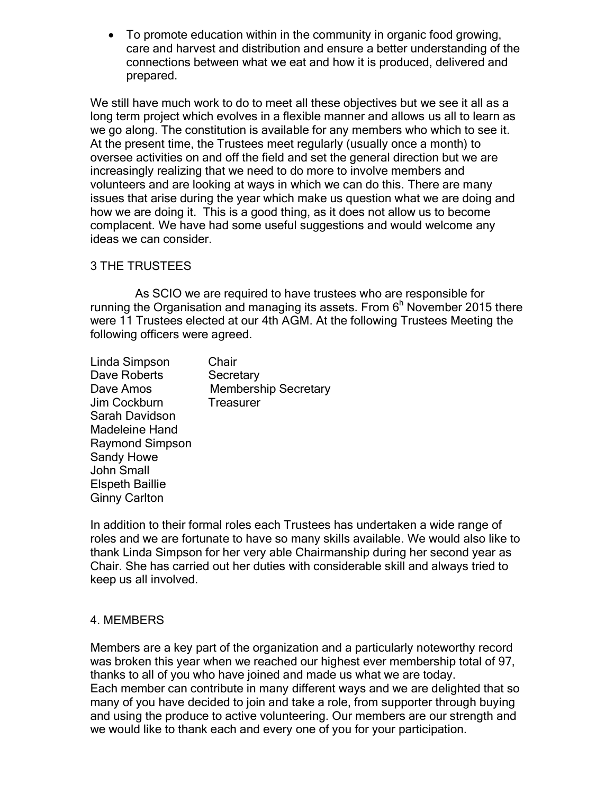To promote education within in the community in organic food growing, care and harvest and distribution and ensure a better understanding of the connections between what we eat and how it is produced, delivered and prepared.

We still have much work to do to meet all these objectives but we see it all as a long term project which evolves in a flexible manner and allows us all to learn as we go along. The constitution is available for any members who which to see it. At the present time, the Trustees meet regularly (usually once a month) to oversee activities on and off the field and set the general direction but we are increasingly realizing that we need to do more to involve members and volunteers and are looking at ways in which we can do this. There are many issues that arise during the year which make us question what we are doing and how we are doing it. This is a good thing, as it does not allow us to become complacent. We have had some useful suggestions and would welcome any ideas we can consider.

### 3 THE TRUSTEES

 As SCIO we are required to have trustees who are responsible for running the Organisation and managing its assets. From  $6<sup>h</sup>$  November 2015 there were 11 Trustees elected at our 4th AGM. At the following Trustees Meeting the following officers were agreed.

| Linda Simpson          | Chair                       |
|------------------------|-----------------------------|
| Dave Roberts           | Secretary                   |
| Dave Amos              | <b>Membership Secretary</b> |
| Jim Cockburn           | <b>Treasurer</b>            |
| Sarah Davidson         |                             |
| Madeleine Hand         |                             |
| Raymond Simpson        |                             |
| <b>Sandy Howe</b>      |                             |
| <b>John Small</b>      |                             |
| <b>Elspeth Baillie</b> |                             |
| <b>Ginny Carlton</b>   |                             |

In addition to their formal roles each Trustees has undertaken a wide range of roles and we are fortunate to have so many skills available. We would also like to thank Linda Simpson for her very able Chairmanship during her second year as Chair. She has carried out her duties with considerable skill and always tried to keep us all involved.

### 4. MEMBERS

Members are a key part of the organization and a particularly noteworthy record was broken this year when we reached our highest ever membership total of 97, thanks to all of you who have joined and made us what we are today. Each member can contribute in many different ways and we are delighted that so many of you have decided to join and take a role, from supporter through buying and using the produce to active volunteering. Our members are our strength and we would like to thank each and every one of you for your participation.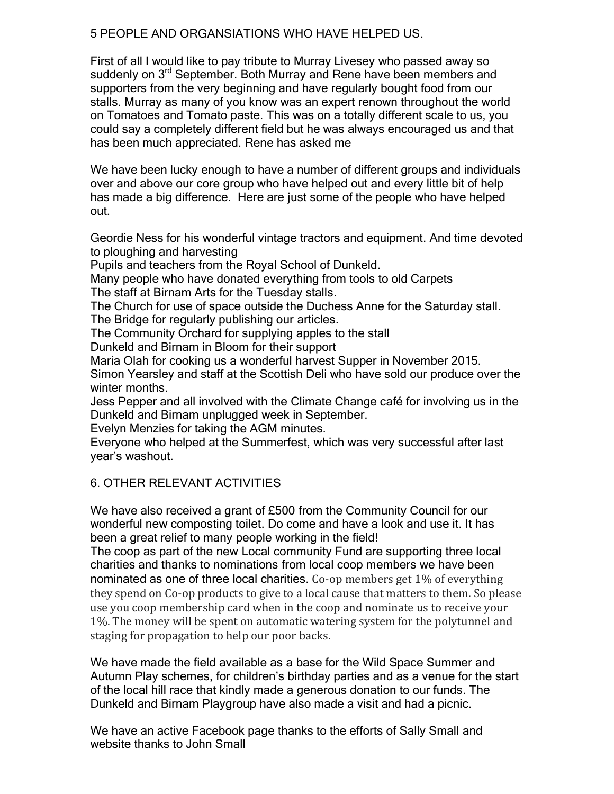### 5 PEOPLE AND ORGANSIATIONS WHO HAVE HELPED US.

First of all I would like to pay tribute to Murray Livesey who passed away so suddenly on 3<sup>rd</sup> September. Both Murray and Rene have been members and supporters from the very beginning and have regularly bought food from our stalls. Murray as many of you know was an expert renown throughout the world on Tomatoes and Tomato paste. This was on a totally different scale to us, you could say a completely different field but he was always encouraged us and that has been much appreciated. Rene has asked me

We have been lucky enough to have a number of different groups and individuals over and above our core group who have helped out and every little bit of help has made a big difference. Here are just some of the people who have helped out.

Geordie Ness for his wonderful vintage tractors and equipment. And time devoted to ploughing and harvesting

Pupils and teachers from the Royal School of Dunkeld.

Many people who have donated everything from tools to old Carpets The staff at Birnam Arts for the Tuesday stalls.

The Church for use of space outside the Duchess Anne for the Saturday stall. The Bridge for regularly publishing our articles.

The Community Orchard for supplying apples to the stall

Dunkeld and Birnam in Bloom for their support

Maria Olah for cooking us a wonderful harvest Supper in November 2015. Simon Yearsley and staff at the Scottish Deli who have sold our produce over the winter months.

Jess Pepper and all involved with the Climate Change café for involving us in the Dunkeld and Birnam unplugged week in September.

Evelyn Menzies for taking the AGM minutes.

Everyone who helped at the Summerfest, which was very successful after last year's washout.

# 6. OTHER RELEVANT ACTIVITIES

We have also received a grant of £500 from the Community Council for our wonderful new composting toilet. Do come and have a look and use it. It has been a great relief to many people working in the field!

The coop as part of the new Local community Fund are supporting three local charities and thanks to nominations from local coop members we have been nominated as one of three local charities. Co-op members get 1% of everything they spend on Co-op products to give to a local cause that matters to them. So please use you coop membership card when in the coop and nominate us to receive your 1%. The money will be spent on automatic watering system for the polytunnel and staging for propagation to help our poor backs.

We have made the field available as a base for the Wild Space Summer and Autumn Play schemes, for children's birthday parties and as a venue for the start of the local hill race that kindly made a generous donation to our funds. The Dunkeld and Birnam Playgroup have also made a visit and had a picnic.

We have an active Facebook page thanks to the efforts of Sally Small and website thanks to John Small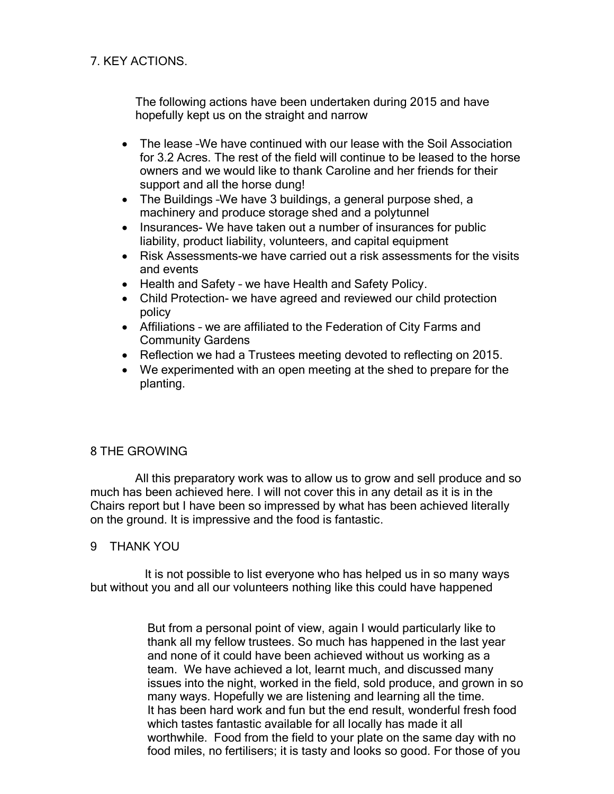## 7. KEY ACTIONS.

The following actions have been undertaken during 2015 and have hopefully kept us on the straight and narrow

- The lease -We have continued with our lease with the Soil Association for 3.2 Acres. The rest of the field will continue to be leased to the horse owners and we would like to thank Caroline and her friends for their support and all the horse dung!
- The Buildings –We have 3 buildings, a general purpose shed, a machinery and produce storage shed and a polytunnel
- Insurances- We have taken out a number of insurances for public liability, product liability, volunteers, and capital equipment
- Risk Assessments-we have carried out a risk assessments for the visits and events
- Health and Safety we have Health and Safety Policy.
- Child Protection- we have agreed and reviewed our child protection policy
- Affiliations we are affiliated to the Federation of City Farms and Community Gardens
- Reflection we had a Trustees meeting devoted to reflecting on 2015.
- We experimented with an open meeting at the shed to prepare for the planting.

# 8 THE GROWING

 All this preparatory work was to allow us to grow and sell produce and so much has been achieved here. I will not cover this in any detail as it is in the Chairs report but I have been so impressed by what has been achieved literally on the ground. It is impressive and the food is fantastic.

### 9 THANK YOU

 It is not possible to list everyone who has helped us in so many ways but without you and all our volunteers nothing like this could have happened

> But from a personal point of view, again I would particularly like to thank all my fellow trustees. So much has happened in the last year and none of it could have been achieved without us working as a team. We have achieved a lot, learnt much, and discussed many issues into the night, worked in the field, sold produce, and grown in so many ways. Hopefully we are listening and learning all the time. It has been hard work and fun but the end result, wonderful fresh food which tastes fantastic available for all locally has made it all worthwhile. Food from the field to your plate on the same day with no food miles, no fertilisers; it is tasty and looks so good. For those of you